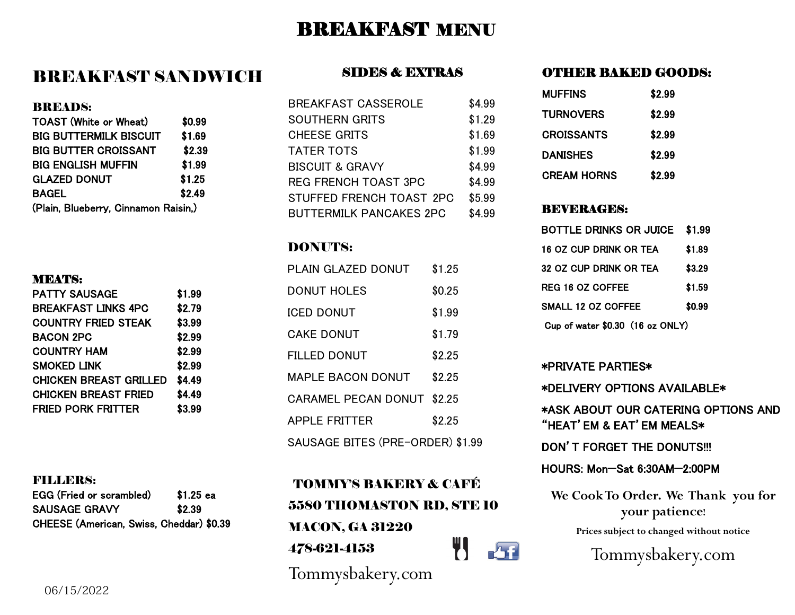## BREAKFAST MENU

### BREAKFAST SANDWICH

#### BREADS:

| <b>TOAST (White or Wheat)</b>        | \$0.99 |
|--------------------------------------|--------|
| <b>BIG BUTTERMILK BISCUIT</b>        | \$1.69 |
| <b>BIG BUTTER CROISSANT</b>          | \$2.39 |
| <b>BIG ENGLISH MUFFIN</b>            | \$1.99 |
| <b>GLAZED DONUT</b>                  | \$1.25 |
| <b>BAGEL</b>                         | \$2.49 |
| (Plain, Blueberry, Cinnamon Raisin,) |        |

#### MEATS:

| \$1.99 |
|--------|
| \$2.79 |
| \$3.99 |
| \$2.99 |
| \$2.99 |
| \$2.99 |
| \$4.49 |
| \$4.49 |
| \$3.99 |
|        |

### FILLERS:

| EGG (Fried or scrambled)                 | $$1.25$ ea |
|------------------------------------------|------------|
| <b>SAUSAGE GRAVY</b>                     | \$2.39     |
| CHEESE (American, Swiss, Cheddar) \$0.39 |            |

### SIDES & EXTRAS

| <b>BREAKFAST CASSEROLE</b>     | \$4.99 |
|--------------------------------|--------|
| <b>SOUTHERN GRITS</b>          | \$1.29 |
| <b>CHEESE GRITS</b>            | \$1.69 |
| <b>TATER TOTS</b>              | \$1.99 |
| <b>BISCUIT &amp; GRAVY</b>     | \$4.99 |
| <b>REG FRENCH TOAST 3PC</b>    | \$4.99 |
| STUFFED FRENCH TOAST 2PC       | \$5.99 |
| <b>BUTTERMILK PANCAKES 2PC</b> | \$4.99 |

### DONUTS:

| PI AIN GI AZED DONUT             | \$1.25 |  |
|----------------------------------|--------|--|
| DONUT HOLFS                      | \$0.25 |  |
| <b>ICED DONUT</b>                | \$1.99 |  |
| CAKE DONUT                       | \$1.79 |  |
| FILLED DONUT                     | \$2.25 |  |
| MAPLE BACON DONUT                | \$2.25 |  |
| <b>CARAMEL PECAN DONUT</b>       | \$2.25 |  |
| <b>APPI F FRITTER</b>            | \$2.25 |  |
| SAUSAGE BITES (PRE-ORDER) \$1.99 |        |  |

TOMMY'S BAKERY & CAFÉ 5580 THOMASTON RD, STE 10 MACON, GA 31220 W<sub>c</sub>h 478-621-4153

Tommysbakery.com

### OTHER BAKED GOODS:

| <b>MUFFINS</b>     | \$2.99 |
|--------------------|--------|
| <b>TURNOVERS</b>   | \$2.99 |
| <b>CROISSANTS</b>  | \$2.99 |
| <b>DANISHES</b>    | \$2.99 |
| <b>CREAM HORNS</b> | \$2.99 |

### BEVERAGES:

| <b>BOTTLE DRINKS OR JUICE</b>    | \$1.99 |  |
|----------------------------------|--------|--|
| 16 OZ CUP DRINK OR TEA           | \$1.89 |  |
| 32 OZ CUP DRINK OR TEA           | \$3.29 |  |
| REG 16 OZ COFFEE                 | \$1.59 |  |
| SMALL 12 OZ COFFFF               | \$0.99 |  |
| Cup of water \$0.30 (16 oz ONLY) |        |  |

### \*PRIVATE PARTIES\*

\*DELIVERY OPTIONS AVAILABLE\* \*ASK ABOUT OUR CATERING OPTIONS AND "HEAT'EM & EAT'EM MEALS\* DON'T FORGET THE DONUTS!!! HOURS: Mon—Sat 6:30AM—2:00PM

**We Cook To Order. We Thank you for your patience!**

**Prices subject to changed without notice** 

Tommysbakery.com